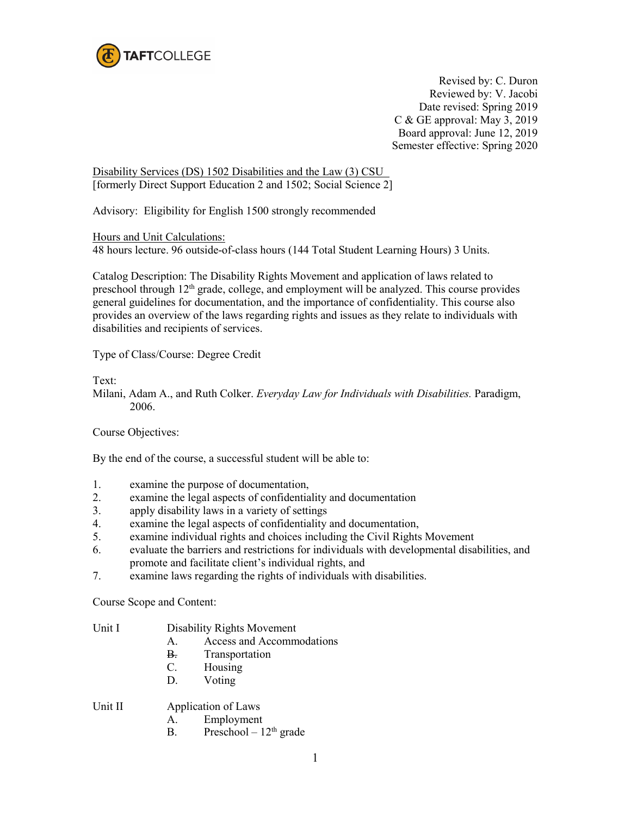

Revised by: C. Duron Reviewed by: V. Jacobi Date revised: Spring 2019 C & GE approval: May 3, 2019 Board approval: June 12, 2019 Semester effective: Spring 2020

Disability Services (DS) 1502 Disabilities and the Law (3) CSU [formerly Direct Support Education 2 and 1502; Social Science 2]

Advisory: Eligibility for English 1500 strongly recommended

Hours and Unit Calculations:

48 hours lecture. 96 outside-of-class hours (144 Total Student Learning Hours) 3 Units.

Catalog Description: The Disability Rights Movement and application of laws related to preschool through 12<sup>th</sup> grade, college, and employment will be analyzed. This course provides general guidelines for documentation, and the importance of confidentiality. This course also provides an overview of the laws regarding rights and issues as they relate to individuals with disabilities and recipients of services.

Type of Class/Course: Degree Credit

Text:

Milani, Adam A., and Ruth Colker. *Everyday Law for Individuals with Disabilities.* Paradigm, 2006.

Course Objectives:

By the end of the course, a successful student will be able to:

- 1. examine the purpose of documentation,
- 2. examine the legal aspects of confidentiality and documentation
- 3. apply disability laws in a variety of settings
- 4. examine the legal aspects of confidentiality and documentation,
- 5. examine individual rights and choices including the Civil Rights Movement
- 6. evaluate the barriers and restrictions for individuals with developmental disabilities, and promote and facilitate client's individual rights, and
- 7. examine laws regarding the rights of individuals with disabilities.

Course Scope and Content:

| Unit I | Disability Rights Movement |
|--------|----------------------------|
|--------|----------------------------|

- A. Access and Accommodations
- B. Transportation
- C. Housing
- D. Voting

Unit II Application of Laws

- A. Employment
- B. Preschool  $12<sup>th</sup>$  grade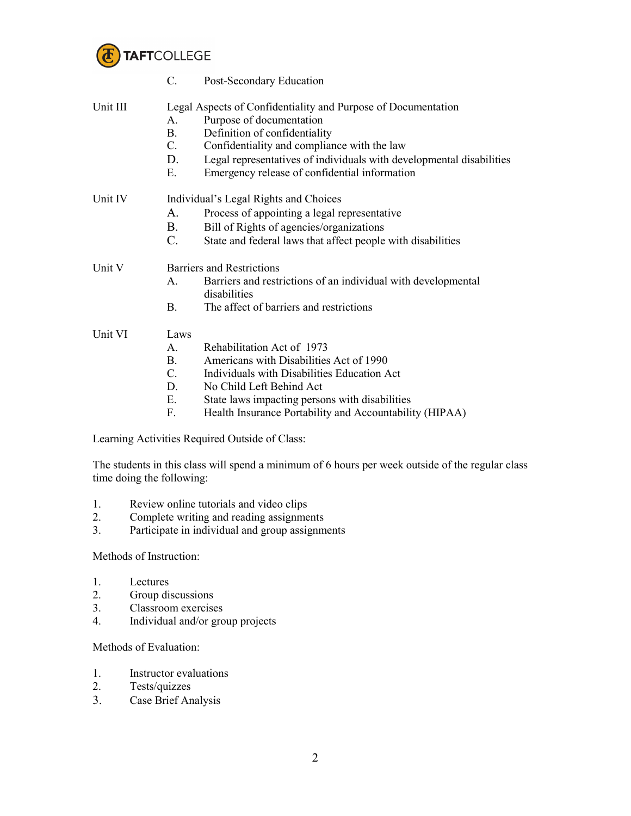

|          | C.                                                            | Post-Secondary Education                                                      |  |
|----------|---------------------------------------------------------------|-------------------------------------------------------------------------------|--|
| Unit III | Legal Aspects of Confidentiality and Purpose of Documentation |                                                                               |  |
|          | $A_{\cdot}$                                                   | Purpose of documentation                                                      |  |
|          | <b>B.</b>                                                     | Definition of confidentiality                                                 |  |
|          | $C_{\cdot}$                                                   | Confidentiality and compliance with the law                                   |  |
|          | D.                                                            | Legal representatives of individuals with developmental disabilities          |  |
|          | Ε.                                                            | Emergency release of confidential information                                 |  |
| Unit IV  | Individual's Legal Rights and Choices                         |                                                                               |  |
|          | $A_{\cdot}$                                                   | Process of appointing a legal representative                                  |  |
|          | <b>B.</b>                                                     | Bill of Rights of agencies/organizations                                      |  |
|          | $C$ .                                                         | State and federal laws that affect people with disabilities                   |  |
| Unit V   | <b>Barriers and Restrictions</b>                              |                                                                               |  |
|          | A.                                                            | Barriers and restrictions of an individual with developmental<br>disabilities |  |
|          | B.                                                            | The affect of barriers and restrictions                                       |  |
| Unit VI  | Laws                                                          |                                                                               |  |
|          | $\mathsf{A}$ .                                                | Rehabilitation Act of 1973                                                    |  |
|          | <b>B</b> .                                                    | Americans with Disabilities Act of 1990                                       |  |
|          | $\mathcal{C}$ .                                               | Individuals with Disabilities Education Act                                   |  |
|          | D.                                                            | No Child Left Behind Act                                                      |  |
|          | Ε.                                                            | State laws impacting persons with disabilities                                |  |
|          |                                                               |                                                                               |  |

F. Health Insurance Portability and Accountability (HIPAA)

Learning Activities Required Outside of Class:

The students in this class will spend a minimum of 6 hours per week outside of the regular class time doing the following:

- 1. Review online tutorials and video clips<br>2. Complete writing and reading assignment
- Complete writing and reading assignments
- 3. Participate in individual and group assignments

Methods of Instruction:

- 1. Lectures<br>2. Group dis
- Group discussions
- 3. Classroom exercises
- 4. Individual and/or group projects

Methods of Evaluation:

- 1. Instructor evaluations
- 2. Tests/quizzes
- 3. Case Brief Analysis